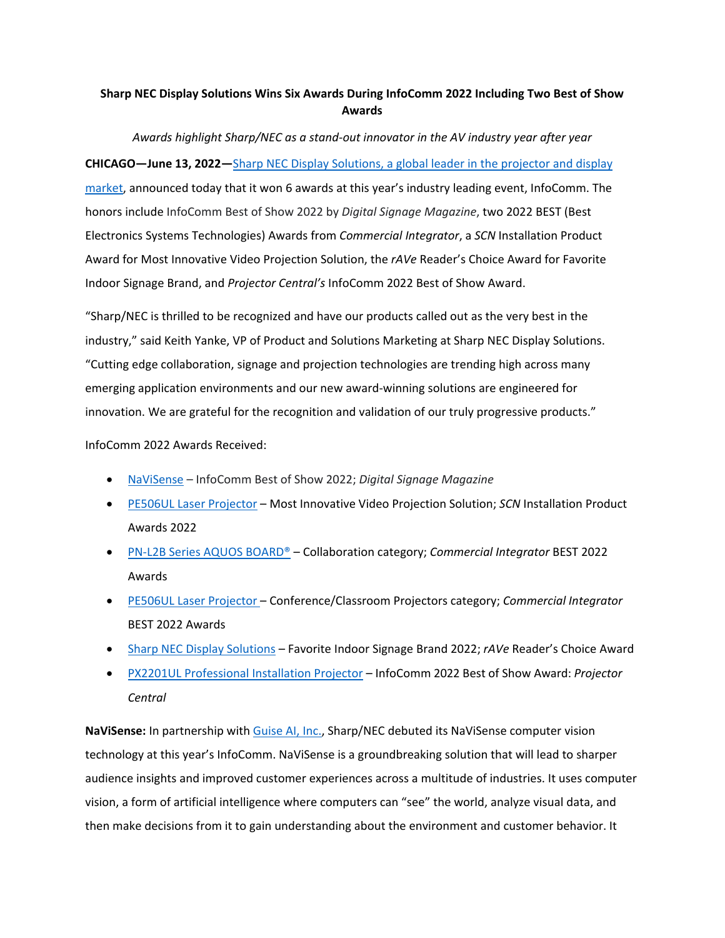## **Sharp NEC Display Solutions Wins Six Awards During InfoComm 2022 Including Two Best of Show Awards**

*Awards highlight Sharp/NEC as a stand‐out innovator in the AV industry year after year* **CHICAGO—June 13, 2022—**Sharp NEC Display [Solutions,](https://www.sharpnecdisplays.us) a global leader in the projector and display [market,](https://www.sharpnecdisplays.us) announced today that it won 6 awards at this year's industry leading event, InfoComm. The honors include InfoComm Best of Show 2022 by *Digital Signage Magazine*, two 2022 BEST (Best Electronics Systems Technologies) Awards from *Commercial Integrator*, a *SCN* Installation Product Award for Most Innovative Video Projection Solution, the *rAVe* Reader's Choice Award for Favorite Indoor Signage Brand, and *Projector Central's* InfoComm 2022 Best of Show Award.

"Sharp/NEC is thrilled to be recognized and have our products called out as the very best in the industry," said Keith Yanke, VP of Product and Solutions Marketing at Sharp NEC Display Solutions. "Cutting edge collaboration, signage and projection technologies are trending high across many emerging application environments and our new award‐winning solutions are engineered for innovation. We are grateful for the recognition and validation of our truly progressive products."

InfoComm 2022 Awards Received:

- [NaViSense](https://www.sharpnecdisplays.us/learnaboutnavisense) InfoComm Best of Show 2022; *Digital Signage Magazine*
- PE506UL Laser [Projector](https://www.sharpnecdisplays.us/products/projectors/np-pe506ul) Most Innovative Video Projection Solution; *SCN* Installation Product Awards 2022
- PN‐L2B Series AQUOS [BOARD®](https://www.sharpnecdisplays.us/products/displays/pn-l862b) Collaboration category; *Commercial Integrator* BEST 2022 Awards
- PE506UL Laser [Projector](https://www.sharpnecdisplays.us/products/projectors/np-pe506ul) Conference/Classroom Projectors category; *Commercial Integrator* BEST 2022 Awards
- Sharp NEC Display [Solutions](https://www.sharpnecdisplays.us/products/displays#1) Favorite Indoor Signage Brand 2022; *rAVe* Reader's Choice Award
- PX2201UL [Professional](https://www.sharpnecdisplays.us/products/projectors/np-px2201ul) Installation Projector InfoComm 2022 Best of Show Award: *Projector Central*

**NaViSense:** In partnership with [Guise](https://cts.businesswire.com/ct/CT?id=smartlink&url=https%3A%2F%2Fguise.ai%2F&esheet=52742687&newsitemid=20220607006282&lan=en-US&anchor=Guise+AI%2C+Inc.&index=2&md5=1bdea7c604ae2fcf02525cfa1bd14489) AI, Inc., Sharp/NEC debuted its NaViSense computer vision technology at this year's InfoComm. NaViSense is a groundbreaking solution that will lead to sharper audience insights and improved customer experiences across a multitude of industries. It uses computer vision, a form of artificial intelligence where computers can "see" the world, analyze visual data, and then make decisions from it to gain understanding about the environment and customer behavior. It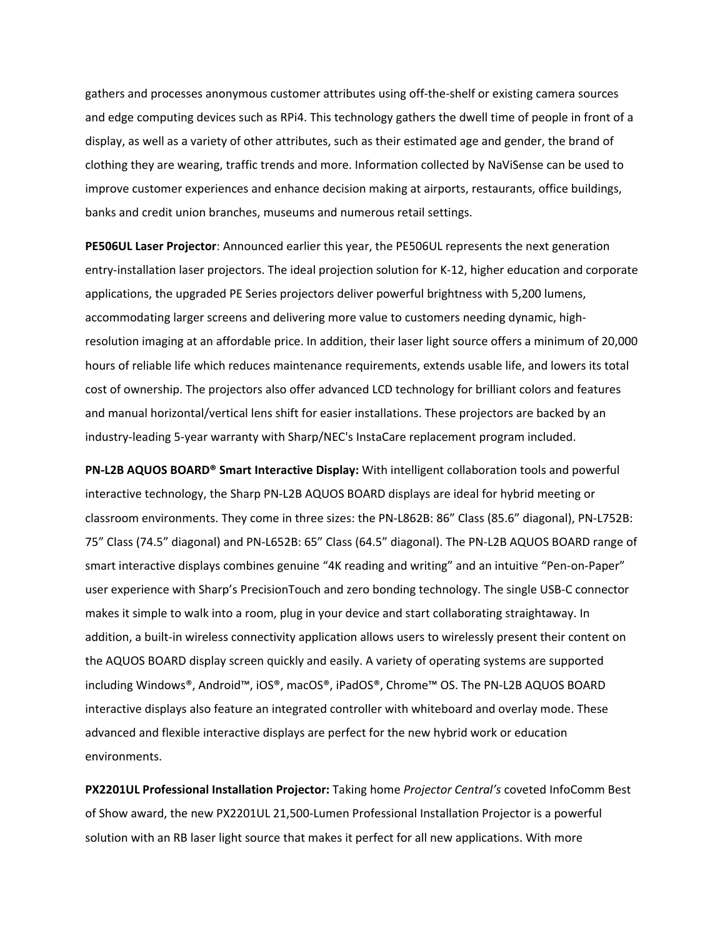gathers and processes anonymous customer attributes using off‐the‐shelf or existing camera sources and edge computing devices such as RPi4. This technology gathers the dwell time of people in front of a display, as well as a variety of other attributes, such as their estimated age and gender, the brand of clothing they are wearing, traffic trends and more. Information collected by NaViSense can be used to improve customer experiences and enhance decision making at airports, restaurants, office buildings, banks and credit union branches, museums and numerous retail settings.

**PE506UL Laser Projector**: Announced earlier this year, the PE506UL represents the next generation entry‐installation laser projectors. The ideal projection solution for K‐12, higher education and corporate applications, the upgraded PE Series projectors deliver powerful brightness with 5,200 lumens, accommodating larger screens and delivering more value to customers needing dynamic, high‐ resolution imaging at an affordable price. In addition, their laser light source offers a minimum of 20,000 hours of reliable life which reduces maintenance requirements, extends usable life, and lowers its total cost of ownership. The projectors also offer advanced LCD technology for brilliant colors and features and manual horizontal/vertical lens shift for easier installations. These projectors are backed by an industry‐leading 5‐year warranty with Sharp/NEC's InstaCare replacement program included.

**PN‐L2B AQUOS BOARD® Smart Interactive Display:** With intelligent collaboration tools and powerful interactive technology, the Sharp PN‐L2B AQUOS BOARD displays are ideal for hybrid meeting or classroom environments. They come in three sizes: the PN‐L862B: 86" Class (85.6" diagonal), PN‐L752B: 75" Class (74.5" diagonal) and PN‐L652B: 65" Class (64.5" diagonal). The PN‐L2B AQUOS BOARD range of smart interactive displays combines genuine "4K reading and writing" and an intuitive "Pen-on-Paper" user experience with Sharp's PrecisionTouch and zero bonding technology. The single USB‐C connector makes it simple to walk into a room, plug in your device and start collaborating straightaway. In addition, a built-in wireless connectivity application allows users to wirelessly present their content on the AQUOS BOARD display screen quickly and easily. A variety of operating systems are supported including Windows®, Android™, iOS®, macOS®, iPadOS®, Chrome™ OS. The PN‐L2B AQUOS BOARD interactive displays also feature an integrated controller with whiteboard and overlay mode. These advanced and flexible interactive displays are perfect for the new hybrid work or education environments.

**PX2201UL Professional Installation Projector:** Taking home *Projector Central's* coveted InfoComm Best of Show award, the new PX2201UL 21,500‐Lumen Professional Installation Projector is a powerful solution with an RB laser light source that makes it perfect for all new applications. With more